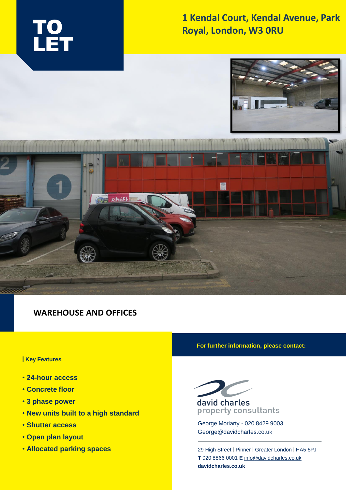

## **1 Kendal Court, Kendal Avenue, Park Royal, London, W3 0RU**





### **WAREHOUSE AND OFFICES**

#### **| Key Features**

- **24-hour access**
- **Concrete floor**
- **3 phase power**
- **New units built to a high standard**
- **Shutter access**
- **Open plan layout**
- **Allocated parking spaces**

#### **For further information, please contact:**



## property consultants

George Moriarty - 020 8429 9003 George@davidcharles.co.uk

29 High Street | Pinner | Greater London | HA5 5PJ **T** 020 8866 0001 **E** [info@davidcharles.co.uk](mailto:info@davidcharles.co.uk)  **davidcharles.co.uk**